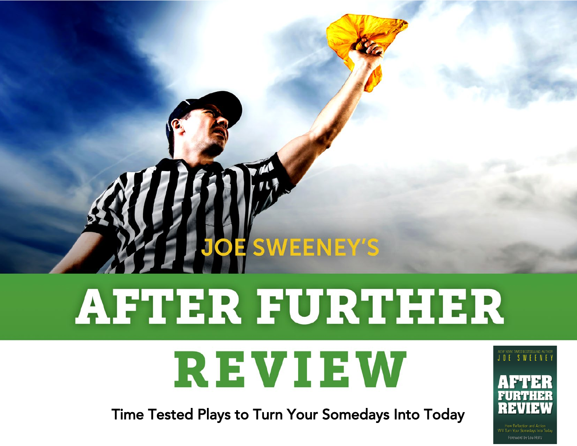# **AFTER FURTHER** REVIEW

**JOE SWEENEY'S** 

Time Tested Plays to Turn Your Somedays Into Today





Foreword by Lou Holtz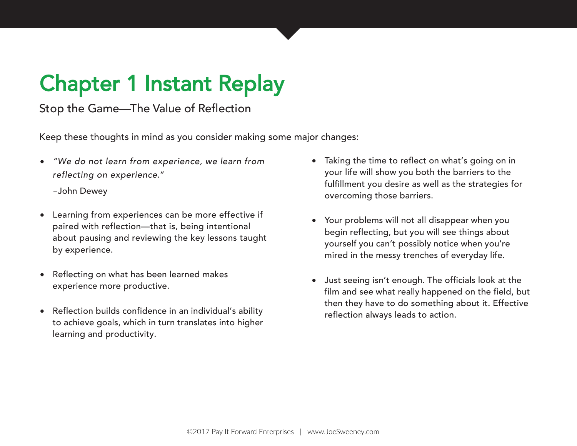# Chapter 1 Instant Replay

Stop the Game—The Value of Reflection

Keep these thoughts in mind as you consider making some major changes:

• "We do not learn from experience, we learn from reflecting on experience."

–John Dewey

- Learning from experiences can be more effective if paired with reflection—that is, being intentional about pausing and reviewing the key lessons taught by experience.
- Reflecting on what has been learned makes experience more productive.
- Reflection builds confidence in an individual's ability to achieve goals, which in turn translates into higher learning and productivity.
- Taking the time to reflect on what's going on in your life will show you both the barriers to the fulfillment you desire as well as the strategies for overcoming those barriers.
- Your problems will not all disappear when you begin reflecting, but you will see things about yourself you can't possibly notice when you're mired in the messy trenches of everyday life.
- Just seeing isn't enough. The officials look at the film and see what really happened on the field, but then they have to do something about it. Effective reflection always leads to action.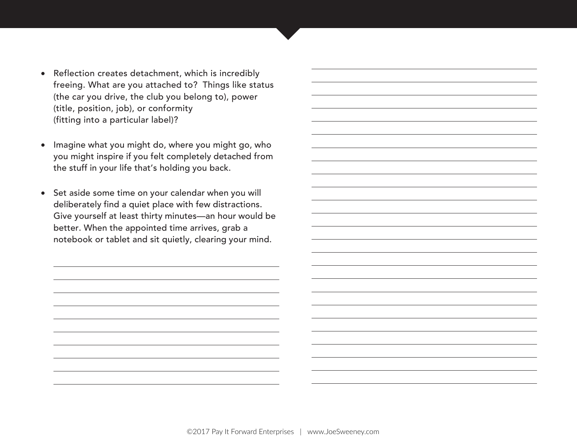- Reflection creates detachment, which is incredibly freeing. What are you attached to? Things like status (the car you drive, the club you belong to), power (title, position, job), or conformity (fitting into a particular label)?
- Imagine what you might do, where you might go, who you might inspire if you felt completely detached from the stuff in your life that's holding you back.
- Set aside some time on your calendar when you will deliberately find a quiet place with few distractions. Give yourself at least thirty minutes—an hour would be better. When the appointed time arrives, grab a notebook or tablet and sit quietly, clearing your mind.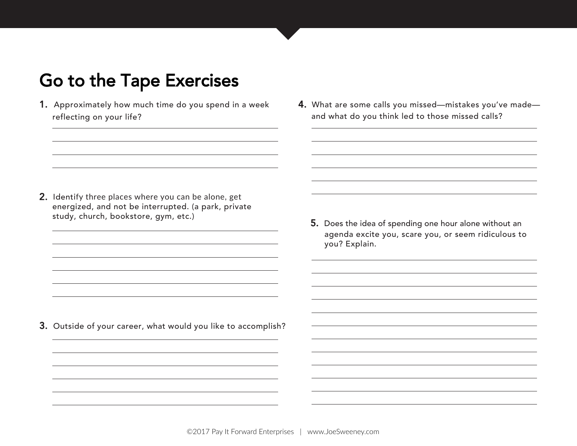- 1. Approximately how much time do you spend in a week reflecting on your life?
- 4. What are some calls you missed—mistakes you've made and what do you think led to those missed calls?

2. Identify three places where you can be alone, get energized, and not be interrupted. (a park, private study, church, bookstore, gym, etc.)

5. Does the idea of spending one hour alone without an agenda excite you, scare you, or seem ridiculous to you? Explain.

3. Outside of your career, what would you like to accomplish?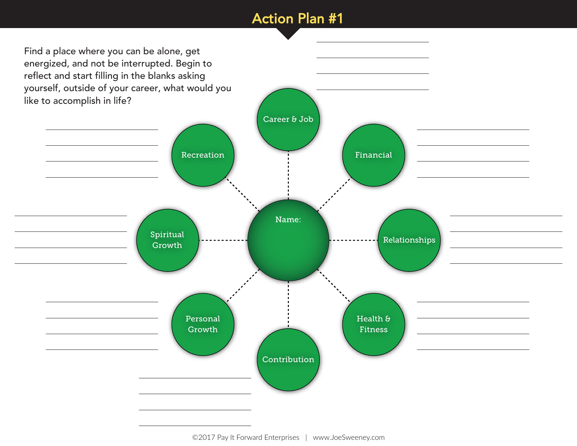#### Action Plan #1

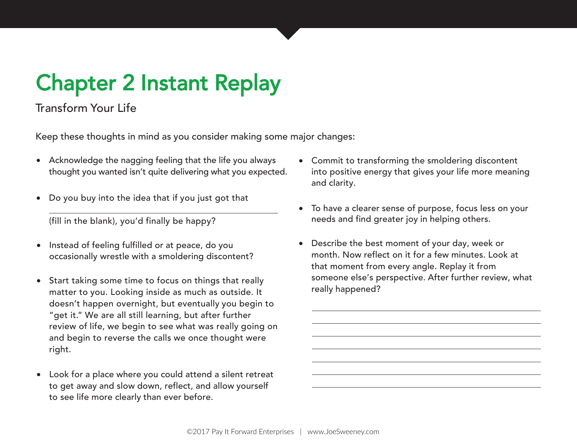# Chapter 2 Instant Replay

#### Transform Your Life

Keep these thoughts in mind as you consider making some major changes:

- Acknowledge the nagging feeling that the life you always thought you wanted isn't quite delivering what you expected.
- Do you buy into the idea that if you just got that

(fill in the blank), you'd finally be happy?

- Instead of feeling fulfilled or at peace, do you occasionally wrestle with a smoldering discontent?
- Start taking some time to focus on things that really matter to you. Looking inside as much as outside. It doesn't happen overnight, but eventually you begin to "get it." We are all still learning, but after further review of life, we begin to see what was really going on and begin to reverse the calls we once thought were right.
- Look for a place where you could attend a silent retreat to get away and slow down, reflect, and allow yourself to see life more clearly than ever before.
- Commit to transforming the smoldering discontent into positive energy that gives your life more meaning and clarity.
- To have a clearer sense of purpose, focus less on your needs and find greater joy in helping others.
- Describe the best moment of your day, week or month. Now reflect on it for a few minutes. Look at that moment from every angle. Replay it from someone else's perspective. After further review, what really happened?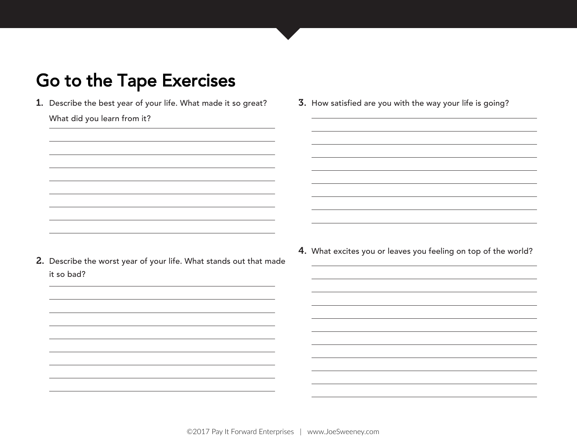1. Describe the best year of your life. What made it so great?

3. How satisfied are you with the way your life is going?

What did you learn from it?

- 2. Describe the worst year of your life. What stands out that made it so bad?
- 4. What excites you or leaves you feeling on top of the world?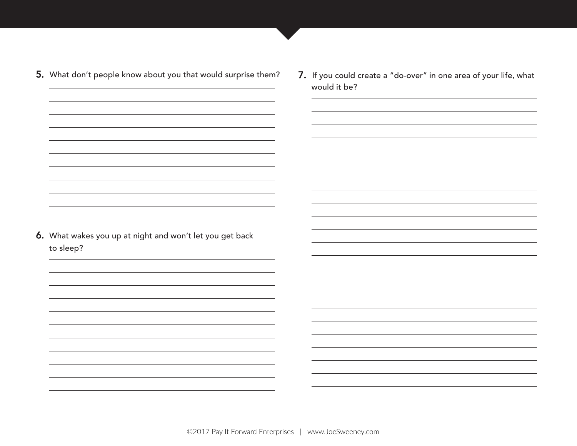| 5. What don't people know about you that would surprise them?         | 7. If you could create a "do-over" in one area of your life, what<br>would it be? |
|-----------------------------------------------------------------------|-----------------------------------------------------------------------------------|
| 6. What wakes you up at night and won't let you get back<br>to sleep? |                                                                                   |
|                                                                       |                                                                                   |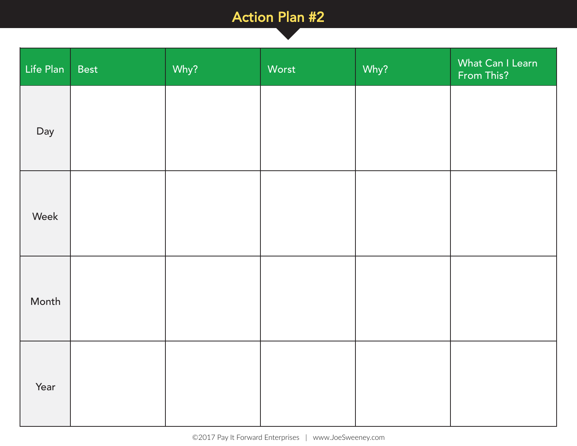### Action Plan #2

Life Plan

| Life Plan | Best | Why? | Worst | Why? | What Can I Learn<br>From This? |
|-----------|------|------|-------|------|--------------------------------|
| Day       |      |      |       |      |                                |
| Week      |      |      |       |      |                                |
| Month     |      |      |       |      |                                |
| Year      |      |      |       |      |                                |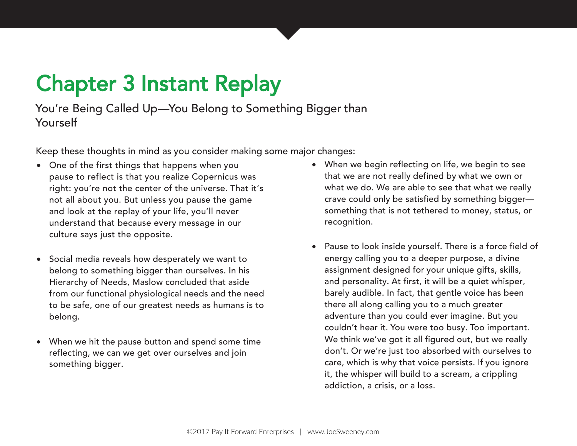# Chapter 3 Instant Replay

You're Being Called Up—You Belong to Something Bigger than Yourself

Keep these thoughts in mind as you consider making some major changes:

- One of the first things that happens when you pause to reflect is that you realize Copernicus was right: you're not the center of the universe. That it's not all about you. But unless you pause the game and look at the replay of your life, you'll never understand that because every message in our culture says just the opposite.
- Social media reveals how desperately we want to belong to something bigger than ourselves. In his Hierarchy of Needs, Maslow concluded that aside from our functional physiological needs and the need to be safe, one of our greatest needs as humans is to belong.
- When we hit the pause button and spend some time reflecting, we can we get over ourselves and join something bigger.
- When we begin reflecting on life, we begin to see that we are not really defined by what we own or what we do. We are able to see that what we really crave could only be satisfied by something bigger something that is not tethered to money, status, or recognition.
- Pause to look inside yourself. There is a force field of energy calling you to a deeper purpose, a divine assignment designed for your unique gifts, skills, and personality. At first, it will be a quiet whisper, barely audible. In fact, that gentle voice has been there all along calling you to a much greater adventure than you could ever imagine. But you couldn't hear it. You were too busy. Too important. We think we've got it all figured out, but we really don't. Or we're just too absorbed with ourselves to care, which is why that voice persists. If you ignore it, the whisper will build to a scream, a crippling addiction, a crisis, or a loss.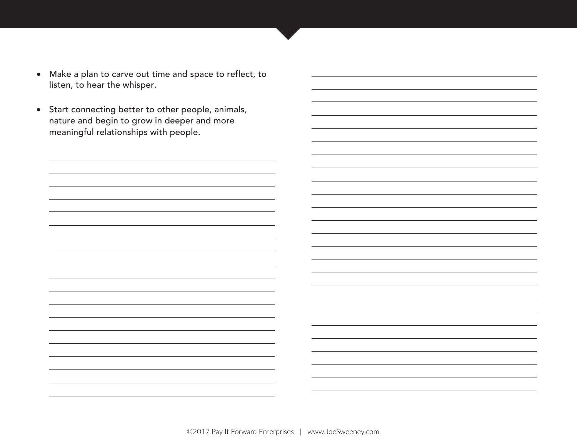- Make a plan to carve out time and space to reflect, to listen, to hear the whisper.
- Start connecting better to other people, animals, nature and begin to grow in deeper and more meaningful relationships with people.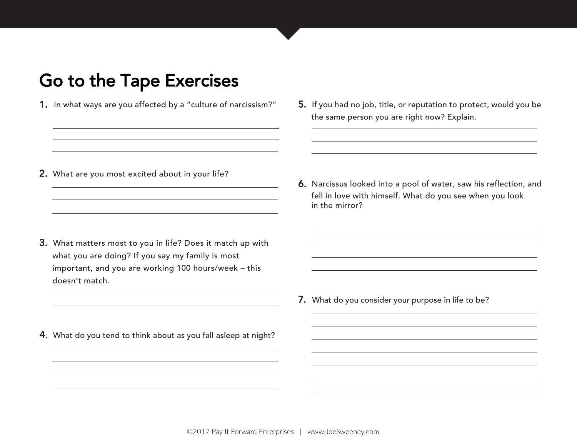- 1. In what ways are you affected by a "culture of narcissism?"
- 5. If you had no job, title, or reputation to protect, would you be the same person you are right now? Explain.

2. What are you most excited about in your life?

- 3. What matters most to you in life? Does it match up with what you are doing? If you say my family is most important, and you are working 100 hours/week – this doesn't match.
- 4. What do you tend to think about as you fall asleep at night?

6. Narcissus looked into a pool of water, saw his reflection, and fell in love with himself. What do you see when you look in the mirror?

7. What do you consider your purpose in life to be?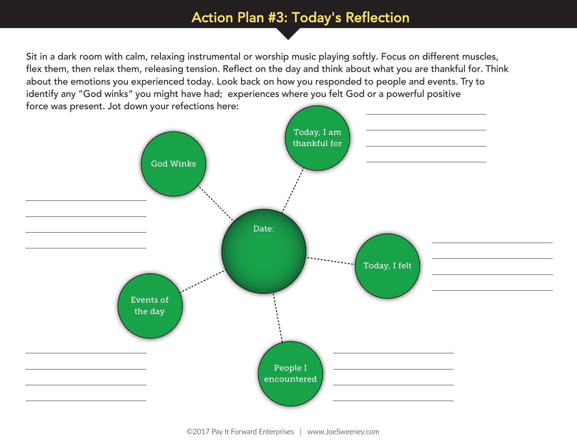#### Action Plan #3: Today's Reflection

Sit in a dark room with calm, relaxing instrumental or worship music playing softly. Focus on different muscles, flex them, then relax them, releasing tension. Reflect on the day and think about what you are thankful for. Think about the emotions you experienced today. Look back on how you responded to people and events. Try to identify any "God winks" you might have had; experiences where you felt God or a powerful positive force was present. Jot down your refections here:

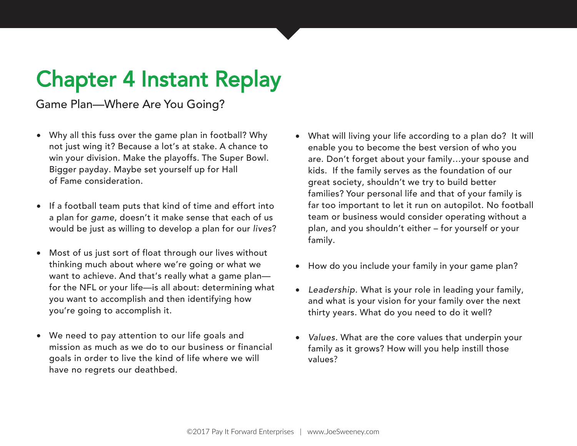# Chapter 4 Instant Replay

Game Plan—Where Are You Going?

- Why all this fuss over the game plan in football? Why not just wing it? Because a lot's at stake. A chance to win your division. Make the playoffs. The Super Bowl. Bigger payday. Maybe set yourself up for Hall of Fame consideration.
- If a football team puts that kind of time and effort into a plan for game, doesn't it make sense that each of us would be just as willing to develop a plan for our lives?
- Most of us just sort of float through our lives without thinking much about where we're going or what we want to achieve. And that's really what a game plan for the NFL or your life—is all about: determining what you want to accomplish and then identifying how you're going to accomplish it.
- We need to pay attention to our life goals and mission as much as we do to our business or financial goals in order to live the kind of life where we will have no regrets our deathbed.
- What will living your life according to a plan do? It will enable you to become the best version of who you are. Don't forget about your family…your spouse and kids. If the family serves as the foundation of our great society, shouldn't we try to build better families? Your personal life and that of your family is far too important to let it run on autopilot. No football team or business would consider operating without a plan, and you shouldn't either – for yourself or your family.
- How do you include your family in your game plan?
- Leadership. What is your role in leading your family, and what is your vision for your family over the next thirty years. What do you need to do it well?
- Values. What are the core values that underpin your family as it grows? How will you help instill those values?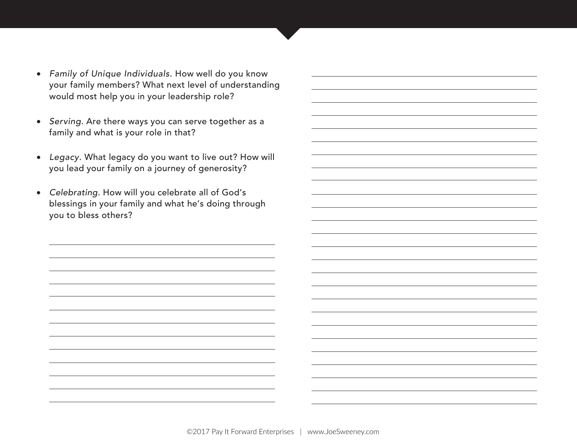- Family of Unique Individuals. How well do you know your family members? What next level of understanding would most help you in your leadership role?
- Serving. Are there ways you can serve together as a family and what is your role in that?
- Legacy. What legacy do you want to live out? How will you lead your family on a journey of generosity?
- Celebrating. How will you celebrate all of God's blessings in your family and what he's doing through you to bless others?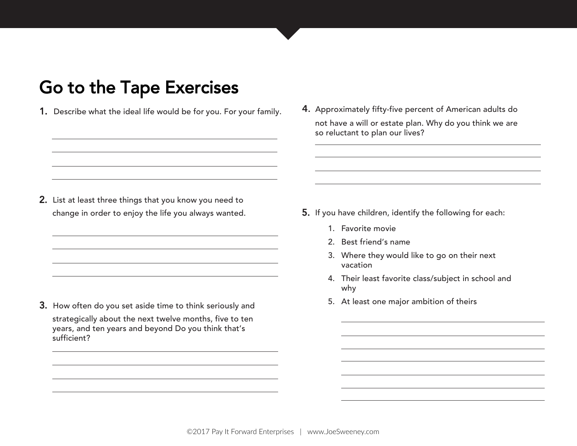- 1. Describe what the ideal life would be for you. For your family.
- 4. Approximately fifty-five percent of American adults do not have a will or estate plan. Why do you think we are so reluctant to plan our lives?

2. List at least three things that you know you need to change in order to enjoy the life you always wanted.

3. How often do you set aside time to think seriously and strategically about the next twelve months, five to ten years, and ten years and beyond Do you think that's sufficient?

- 5. If you have children, identify the following for each:
	- 1. Favorite movie
	- 2. Best friend's name
	- 3. Where they would like to go on their next vacation
	- 4. Their least favorite class/subject in school and why
	- 5. At least one major ambition of theirs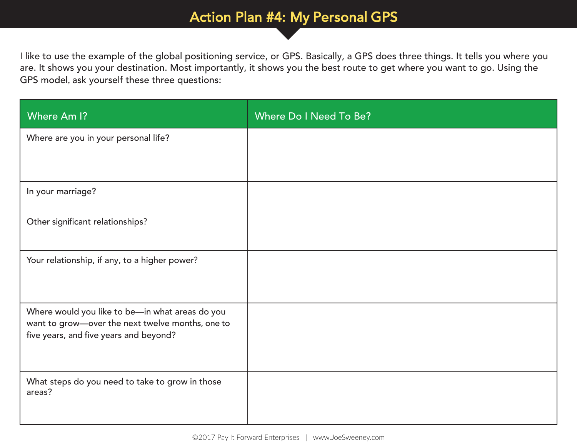#### Action Plan #4: My Personal GPS

I like to use the example of the global positioning service, or GPS. Basically, a GPS does three things. It tells you where you are. It shows you your destination. Most importantly, it shows you the best route to get where you want to go. Using the GPS model, ask yourself these three questions:

| Where Am I?                                                                                                                                   | Where Do I Need To Be? |
|-----------------------------------------------------------------------------------------------------------------------------------------------|------------------------|
| Where are you in your personal life?                                                                                                          |                        |
|                                                                                                                                               |                        |
| In your marriage?                                                                                                                             |                        |
| Other significant relationships?                                                                                                              |                        |
| Your relationship, if any, to a higher power?                                                                                                 |                        |
| Where would you like to be-in what areas do you<br>want to grow-over the next twelve months, one to<br>five years, and five years and beyond? |                        |
| What steps do you need to take to grow in those<br>areas?                                                                                     |                        |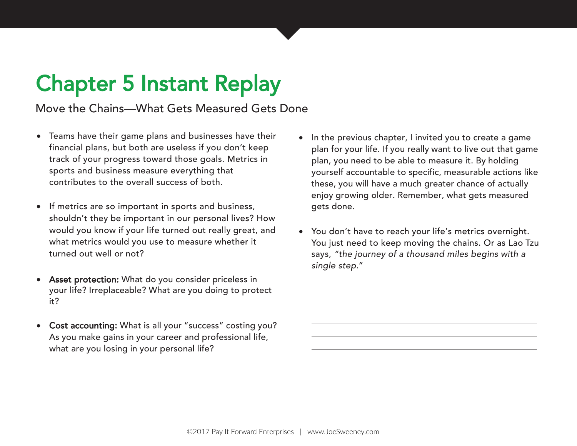# Chapter 5 Instant Replay

Move the Chains—What Gets Measured Gets Done

- Teams have their game plans and businesses have their financial plans, but both are useless if you don't keep track of your progress toward those goals. Metrics in sports and business measure everything that contributes to the overall success of both.
- If metrics are so important in sports and business, shouldn't they be important in our personal lives? How would you know if your life turned out really great, and what metrics would you use to measure whether it turned out well or not?
- Asset protection: What do you consider priceless in your life? Irreplaceable? What are you doing to protect it?
- Cost accounting: What is all your "success" costing you? As you make gains in your career and professional life, what are you losing in your personal life?
- In the previous chapter, I invited you to create a game plan for your life. If you really want to live out that game plan, you need to be able to measure it. By holding yourself accountable to specific, measurable actions like these, you will have a much greater chance of actually enjoy growing older. Remember, what gets measured gets done.
- You don't have to reach your life's metrics overnight. You just need to keep moving the chains. Or as Lao Tzu says, "the journey of a thousand miles begins with a single step."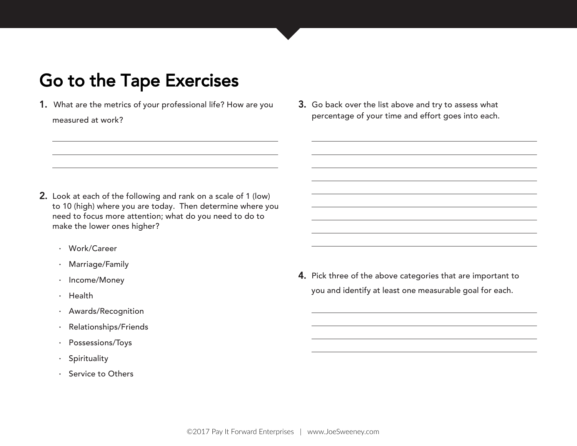- 1. What are the metrics of your professional life? How are you measured at work?
- 3. Go back over the list above and try to assess what percentage of your time and effort goes into each.

- 2. Look at each of the following and rank on a scale of 1 (low) to 10 (high) where you are today. Then determine where you need to focus more attention; what do you need to do to make the lower ones higher?
	- · Work/Career
	- · Marriage/Family
	- · Income/Money
	- · Health
	- · Awards/Recognition
	- · Relationships/Friends
	- · Possessions/Toys
	- · Spirituality
	- · Service to Others

4. Pick three of the above categories that are important to you and identify at least one measurable goal for each.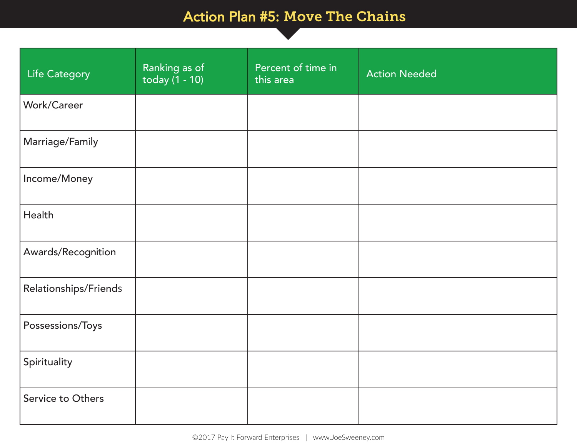#### Action Plan #5: Move The Chains

| Life Category         | Ranking as of<br>today $(1 - 10)$ | Percent of time in<br>this area | <b>Action Needed</b> |
|-----------------------|-----------------------------------|---------------------------------|----------------------|
| Work/Career           |                                   |                                 |                      |
| Marriage/Family       |                                   |                                 |                      |
| Income/Money          |                                   |                                 |                      |
| Health                |                                   |                                 |                      |
| Awards/Recognition    |                                   |                                 |                      |
| Relationships/Friends |                                   |                                 |                      |
| Possessions/Toys      |                                   |                                 |                      |
| Spirituality          |                                   |                                 |                      |
| Service to Others     |                                   |                                 |                      |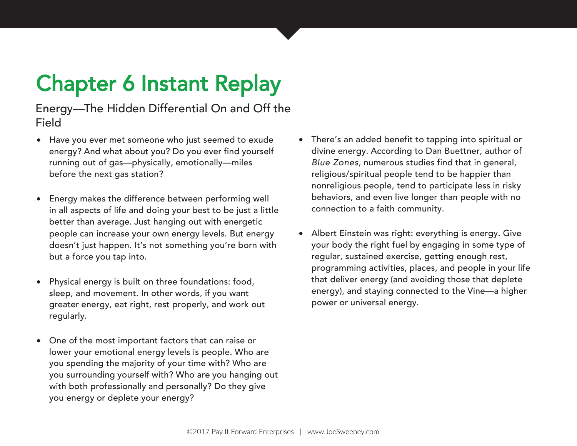# Chapter 6 Instant Replay

Energy—The Hidden Differential On and Off the Field

- Have you ever met someone who just seemed to exude energy? And what about you? Do you ever find yourself running out of gas—physically, emotionally—miles before the next gas station?
- Energy makes the difference between performing well in all aspects of life and doing your best to be just a little better than average. Just hanging out with energetic people can increase your own energy levels. But energy doesn't just happen. It's not something you're born with but a force you tap into.
- Physical energy is built on three foundations: food, sleep, and movement. In other words, if you want greater energy, eat right, rest properly, and work out regularly.
- One of the most important factors that can raise or lower your emotional energy levels is people. Who are you spending the majority of your time with? Who are you surrounding yourself with? Who are you hanging out with both professionally and personally? Do they give you energy or deplete your energy?
- There's an added benefit to tapping into spiritual or divine energy. According to Dan Buettner, author of Blue Zones, numerous studies find that in general, religious/spiritual people tend to be happier than nonreligious people, tend to participate less in risky behaviors, and even live longer than people with no connection to a faith community.
- Albert Einstein was right: everything is energy. Give your body the right fuel by engaging in some type of regular, sustained exercise, getting enough rest, programming activities, places, and people in your life that deliver energy (and avoiding those that deplete energy), and staying connected to the Vine—a higher power or universal energy.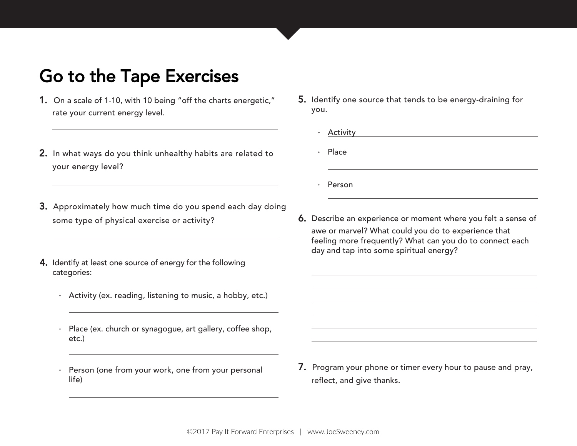- 1. On a scale of 1-10, with 10 being "off the charts energetic," rate your current energy level.
- 2. In what ways do you think unhealthy habits are related to your energy level?
- 3. Approximately how much time do you spend each day doing some type of physical exercise or activity?
- 4. Identify at least one source of energy for the following categories:
	- · Activity (ex. reading, listening to music, a hobby, etc.)
	- · Place (ex. church or synagogue, art gallery, coffee shop, etc.)
	- Person (one from your work, one from your personal life)
- 5. Identify one source that tends to be energy-draining for you.
	- **Activity**
	- · Place
	- · Person
- 6. Describe an experience or moment where you felt a sense of awe or marvel? What could you do to experience that feeling more frequently? What can you do to connect each day and tap into some spiritual energy?

7. Program your phone or timer every hour to pause and pray, reflect, and give thanks.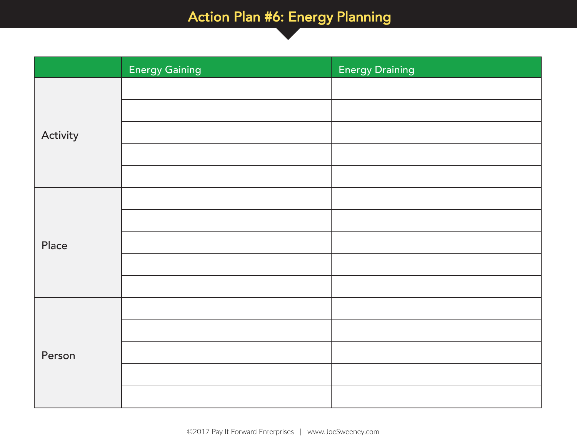### Action Plan #6: Energy Planning

|          | <b>Energy Gaining</b> | <b>Energy Draining</b> |
|----------|-----------------------|------------------------|
|          |                       |                        |
|          |                       |                        |
| Activity |                       |                        |
|          |                       |                        |
|          |                       |                        |
|          |                       |                        |
|          |                       |                        |
| Place    |                       |                        |
|          |                       |                        |
|          |                       |                        |
|          |                       |                        |
|          |                       |                        |
| Person   |                       |                        |
|          |                       |                        |
|          |                       |                        |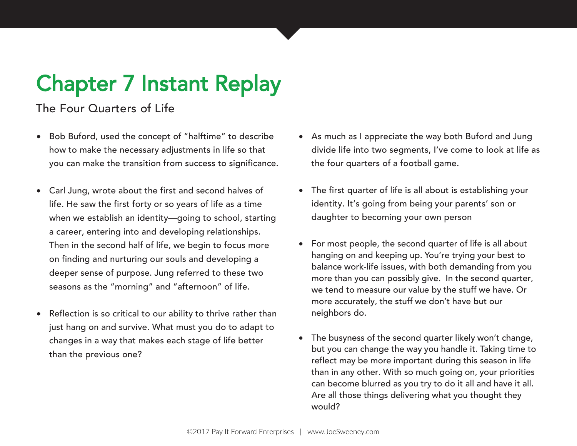# Chapter 7 Instant Replay

#### The Four Quarters of Life

- Bob Buford, used the concept of "halftime" to describe how to make the necessary adjustments in life so that you can make the transition from success to significance.
- Carl Jung, wrote about the first and second halves of life. He saw the first forty or so years of life as a time when we establish an identity—going to school, starting a career, entering into and developing relationships. Then in the second half of life, we begin to focus more on finding and nurturing our souls and developing a deeper sense of purpose. Jung referred to these two seasons as the "morning" and "afternoon" of life.
- Reflection is so critical to our ability to thrive rather than just hang on and survive. What must you do to adapt to changes in a way that makes each stage of life better than the previous one?
- As much as I appreciate the way both Buford and Jung divide life into two segments, I've come to look at life as the four quarters of a football game.
- The first quarter of life is all about is establishing your identity. It's going from being your parents' son or daughter to becoming your own person
- For most people, the second quarter of life is all about hanging on and keeping up. You're trying your best to balance work-life issues, with both demanding from you more than you can possibly give. In the second quarter, we tend to measure our value by the stuff we have. Or more accurately, the stuff we don't have but our neighbors do.
- The busyness of the second quarter likely won't change, but you can change the way you handle it. Taking time to reflect may be more important during this season in life than in any other. With so much going on, your priorities can become blurred as you try to do it all and have it all. Are all those things delivering what you thought they would?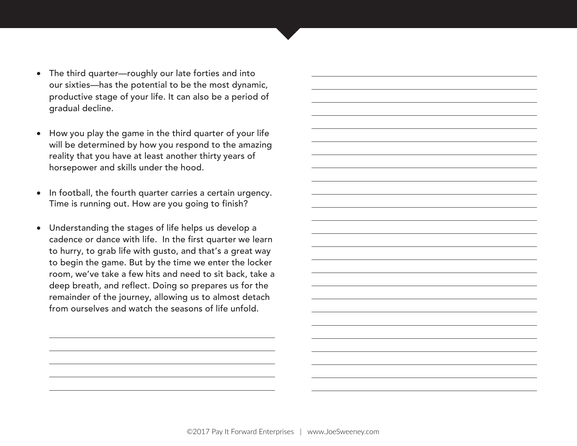- The third quarter—roughly our late forties and into our sixties—has the potential to be the most dynamic, productive stage of your life. It can also be a period of gradual decline.
- How you play the game in the third quarter of your life will be determined by how you respond to the amazing reality that you have at least another thirty years of horsepower and skills under the hood.
- In football, the fourth quarter carries a certain urgency. Time is running out. How are you going to finish?
- Understanding the stages of life helps us develop a cadence or dance with life. In the first quarter we learn to hurry, to grab life with gusto, and that's a great way to begin the game. But by the time we enter the locker room, we've take a few hits and need to sit back, take a deep breath, and reflect. Doing so prepares us for the remainder of the journey, allowing us to almost detach from ourselves and watch the seasons of life unfold.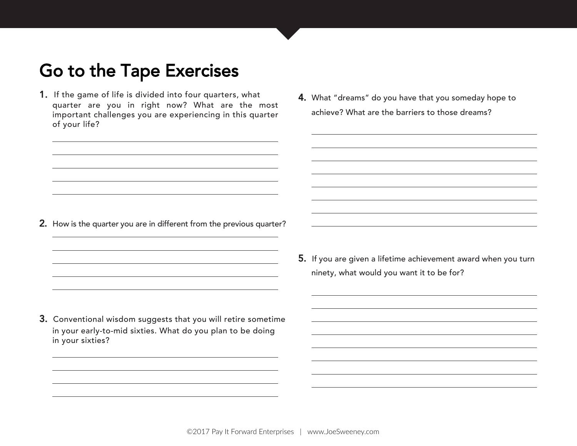- 1. If the game of life is divided into four quarters, what quarter are you in right now? What are the most important challenges you are experiencing in this quarter of your life?
- 4. What "dreams" do you have that you someday hope to achieve? What are the barriers to those dreams?

- 2. How is the quarter you are in different from the previous quarter?
- 5. If you are given a lifetime achievement award when you turn ninety, what would you want it to be for?
- 3. Conventional wisdom suggests that you will retire sometime in your early-to-mid sixties. What do you plan to be doing in your sixties?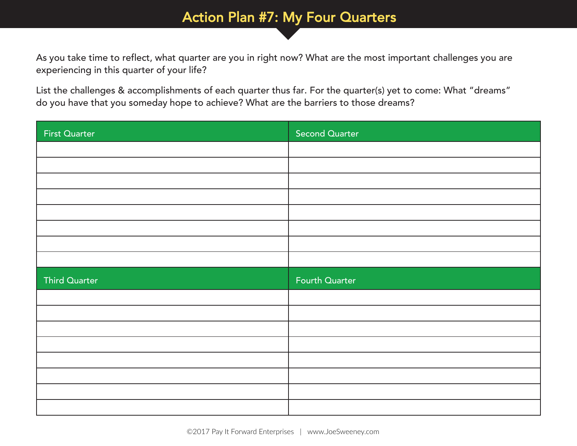#### Action Plan #7: My Four Quarters

As you take time to reflect, what quarter are you in right now? What are the most important challenges you are experiencing in this quarter of your life?

List the challenges & accomplishments of each quarter thus far. For the quarter(s) yet to come: What "dreams" do you have that you someday hope to achieve? What are the barriers to those dreams?

| First Quarter | <b>Second Quarter</b> |
|---------------|-----------------------|
|               |                       |
|               |                       |
|               |                       |
|               |                       |
|               |                       |
|               |                       |
|               |                       |
|               |                       |
|               |                       |
| Third Quarter | <b>Fourth Quarter</b> |
|               |                       |
|               |                       |
|               |                       |
|               |                       |
|               |                       |
|               |                       |
|               |                       |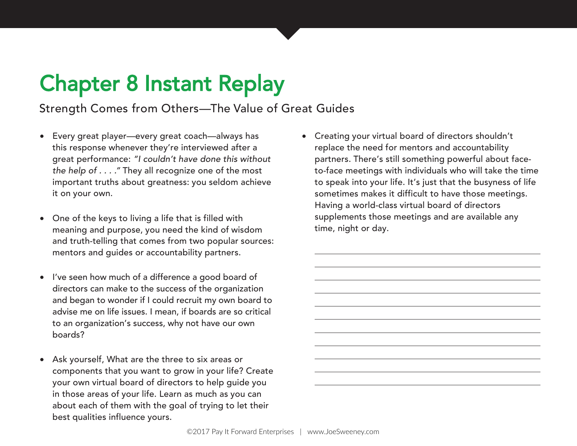# Chapter 8 Instant Replay

#### Strength Comes from Others—The Value of Great Guides

- Every great player—every great coach—always has this response whenever they're interviewed after a great performance: "I couldn't have done this without the help of . . . ." They all recognize one of the most important truths about greatness: you seldom achieve it on your own.
- One of the keys to living a life that is filled with meaning and purpose, you need the kind of wisdom and truth-telling that comes from two popular sources: mentors and guides or accountability partners.
- I've seen how much of a difference a good board of directors can make to the success of the organization and began to wonder if I could recruit my own board to advise me on life issues. I mean, if boards are so critical to an organization's success, why not have our own boards?
- Ask yourself, What are the three to six areas or components that you want to grow in your life? Create your own virtual board of directors to help guide you in those areas of your life. Learn as much as you can about each of them with the goal of trying to let their best qualities influence yours.

• Creating your virtual board of directors shouldn't replace the need for mentors and accountability partners. There's still something powerful about faceto-face meetings with individuals who will take the time to speak into your life. It's just that the busyness of life sometimes makes it difficult to have those meetings. Having a world-class virtual board of directors supplements those meetings and are available any time, night or day.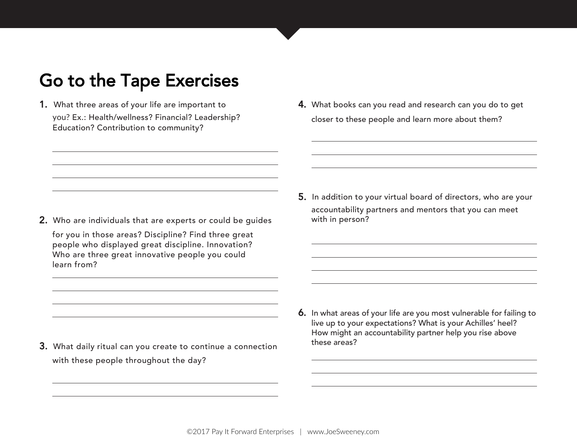1. What three areas of your life are important to you? Ex.: Health/wellness? Financial? Leadership? Education? Contribution to community?

4. What books can you read and research can you do to get closer to these people and learn more about them?

2. Who are individuals that are experts or could be guides

for you in those areas? Discipline? Find three great people who displayed great discipline. Innovation? Who are three great innovative people you could learn from?

5. In addition to your virtual board of directors, who are your accountability partners and mentors that you can meet with in person?

- 3. What daily ritual can you create to continue a connection with these people throughout the day?
- 6. In what areas of your life are you most vulnerable for failing to live up to your expectations? What is your Achilles' heel? How might an accountability partner help you rise above these areas?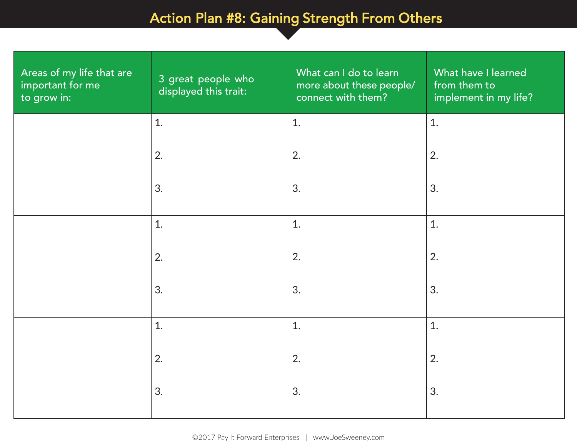### Action Plan #8: Gaining Strength From Others

Stregnth From Others

| Areas of my life that are<br>important for me<br>to grow in: | 3 great people who<br>displayed this trait: | What can I do to learn<br>more about these people/<br>connect with them? | What have I learned<br>from them to<br>implement in my life? |
|--------------------------------------------------------------|---------------------------------------------|--------------------------------------------------------------------------|--------------------------------------------------------------|
|                                                              | 1.                                          | 1.                                                                       | 1.                                                           |
|                                                              | 2.                                          | 2.                                                                       | 2.                                                           |
|                                                              | 3.                                          | 3.                                                                       | 3.                                                           |
|                                                              | 1.                                          | 1.                                                                       | 1.                                                           |
|                                                              | 2.                                          | 2.                                                                       | 2.                                                           |
|                                                              | 3.                                          | 3.                                                                       | 3.                                                           |
|                                                              | 1.                                          | 1.                                                                       | 1.                                                           |
|                                                              | 2.                                          | 2.                                                                       | 2.                                                           |
|                                                              | 3.                                          | 3.                                                                       | 3.                                                           |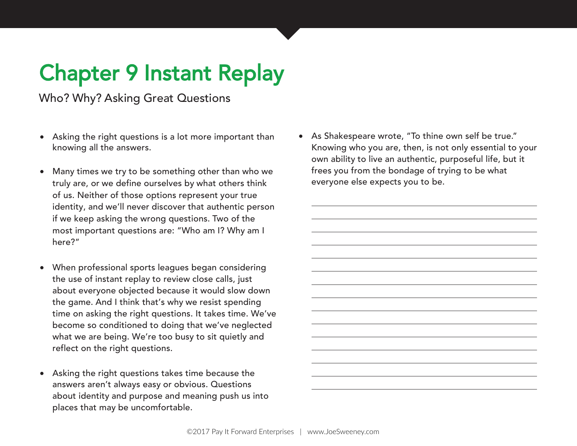# Chapter 9 Instant Replay

Who? Why? Asking Great Questions

- Asking the right questions is a lot more important than knowing all the answers.
- Many times we try to be something other than who we truly are, or we define ourselves by what others think of us. Neither of those options represent your true identity, and we'll never discover that authentic person if we keep asking the wrong questions. Two of the most important questions are: "Who am I? Why am I here?"
- When professional sports leagues began considering the use of instant replay to review close calls, just about everyone objected because it would slow down the game. And I think that's why we resist spending time on asking the right questions. It takes time. We've become so conditioned to doing that we've neglected what we are being. We're too busy to sit quietly and reflect on the right questions.
- Asking the right questions takes time because the answers aren't always easy or obvious. Questions about identity and purpose and meaning push us into places that may be uncomfortable.

• As Shakespeare wrote, "To thine own self be true." Knowing who you are, then, is not only essential to your own ability to live an authentic, purposeful life, but it frees you from the bondage of trying to be what everyone else expects you to be.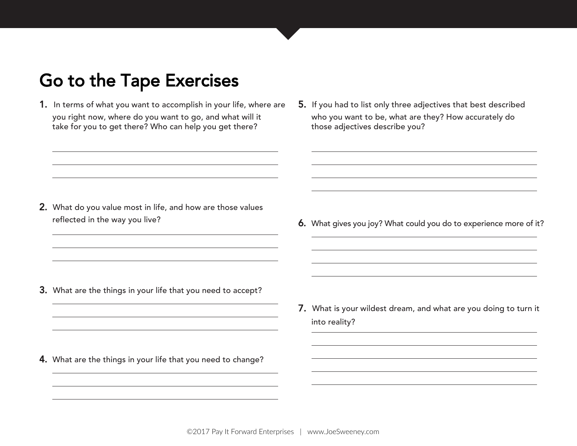- 1. In terms of what you want to accomplish in your life, where are you right now, where do you want to go, and what will it take for you to get there? Who can help you get there?
- 5. If you had to list only three adjectives that best described who you want to be, what are they? How accurately do those adjectives describe you?

- 2. What do you value most in life, and how are those values reflected in the way you live?
- 6. What gives you joy? What could you do to experience more of it?

- 3. What are the things in your life that you need to accept?
- 7. What is your wildest dream, and what are you doing to turn it into reality?
- 4. What are the things in your life that you need to change?

©2017 Pay It Forward Enterprises | [www.JoeSweeney.com](http://www.joesweeney.com/)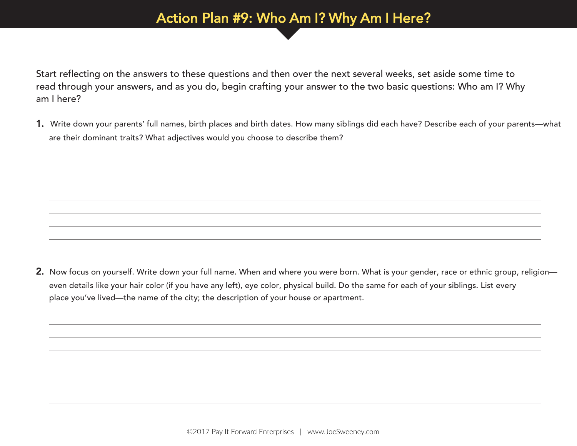#### Action Plan #9: Who Am I? Why Am I Here?

Start reflecting on the answers to these questions and then over the next several weeks, set aside some time to read through your answers, and as you do, begin crafting your answer to the two basic questions: Who am I? Why am I here?

1. Write down your parents' full names, birth places and birth dates. How many siblings did each have? Describe each of your parents—what are their dominant traits? What adjectives would you choose to describe them?

2. Now focus on yourself. Write down your full name. When and where you were born. What is your gender, race or ethnic group, religion even details like your hair color (if you have any left), eye color, physical build. Do the same for each of your siblings. List every place you've lived—the name of the city; the description of your house or apartment.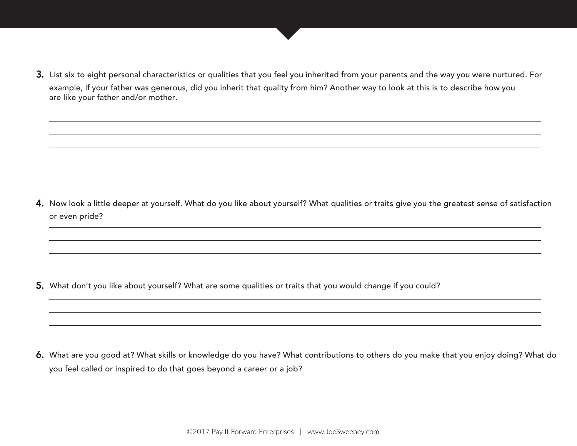3. List six to eight personal characteristics or qualities that you feel you inherited from your parents and the way you were nurtured. For example, if your father was generous, did you inherit that quality from him? Another way to look at this is to describe how you are like your father and/or mother.

4. Now look a little deeper at yourself. What do you like about yourself? What qualities or traits give you the greatest sense of satisfaction or even pride?

5. What don't you like about yourself? What are some qualities or traits that you would change if you could?

6. What are you good at? What skills or knowledge do you have? What contributions to others do you make that you enjoy doing? What do you feel called or inspired to do that goes beyond a career or a job?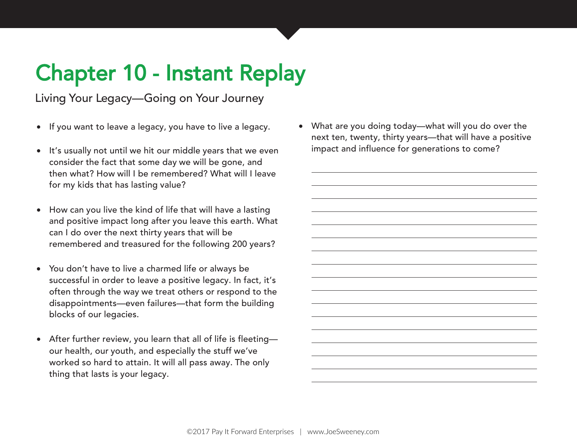# Chapter 10 - Instant Replay

Living Your Legacy—Going on Your Journey

- If you want to leave a legacy, you have to live a legacy.
- It's usually not until we hit our middle years that we even consider the fact that some day we will be gone, and then what? How will I be remembered? What will I leave for my kids that has lasting value?
- How can you live the kind of life that will have a lasting and positive impact long after you leave this earth. What can I do over the next thirty years that will be remembered and treasured for the following 200 years?
- You don't have to live a charmed life or always be successful in order to leave a positive legacy. In fact, it's often through the way we treat others or respond to the disappointments—even failures—that form the building blocks of our legacies.
- After further review, you learn that all of life is fleeting our health, our youth, and especially the stuff we've worked so hard to attain. It will all pass away. The only thing that lasts is your legacy.

• What are you doing today—what will you do over the next ten, twenty, thirty years—that will have a positive impact and influence for generations to come?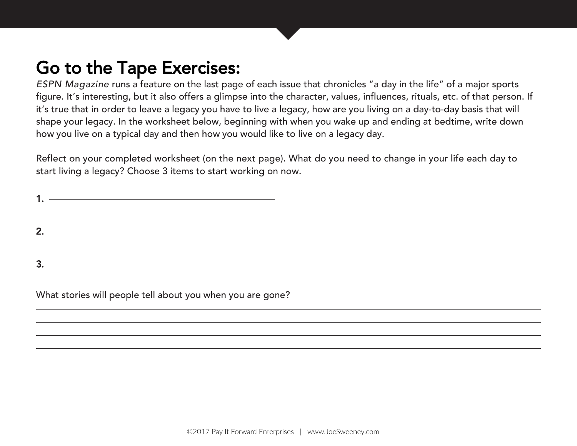ESPN Magazine runs a feature on the last page of each issue that chronicles "a day in the life" of a major sports figure. It's interesting, but it also offers a glimpse into the character, values, influences, rituals, etc. of that person. If it's true that in order to leave a legacy you have to live a legacy, how are you living on a day-to-day basis that will shape your legacy. In the worksheet below, beginning with when you wake up and ending at bedtime, write down how you live on a typical day and then how you would like to live on a legacy day.

Reflect on your completed worksheet (on the next page). What do you need to change in your life each day to start living a legacy? Choose 3 items to start working on now.

| 1. $\overline{\phantom{iiiiiiiiiiiiiiiii}}$ |
|---------------------------------------------|
|                                             |
| $2.$ $\overline{\phantom{a}}$               |
|                                             |
| $3.$ $\overline{\phantom{1}}$               |

What stories will people tell about you when you are gone?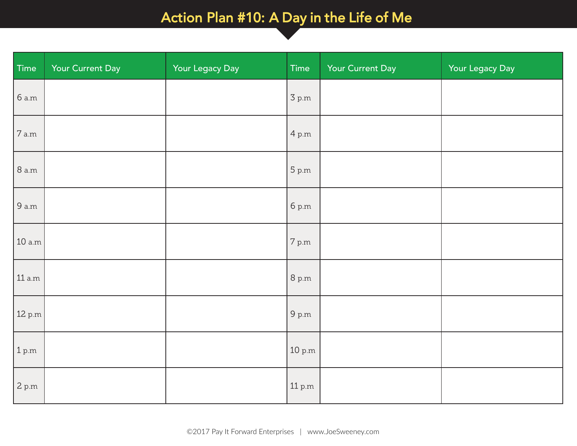### Action Plan #10: A Day in the Life of Me

| Time                       | Your Current Day | Your Legacy Day | Time                        | Your Current Day | Your Legacy Day |
|----------------------------|------------------|-----------------|-----------------------------|------------------|-----------------|
| 6 a.m                      |                  |                 | 3 p.m                       |                  |                 |
| 7 a.m                      |                  |                 | 4 p.m                       |                  |                 |
| <b>8</b> a.m               |                  |                 | 5 p.m                       |                  |                 |
| 9 a.m                      |                  |                 | 6 p.m                       |                  |                 |
| 10 a.m                     |                  |                 | 7 p.m                       |                  |                 |
| 11 a.m                     |                  |                 | 8 p.m                       |                  |                 |
| 12 p.m                     |                  |                 | $9~\mathrm{p.m}$            |                  |                 |
| 1 p.m                      |                  |                 | $10\ \mathrm{p.m}$          |                  |                 |
| $2\ \mathrm{p}.\mathrm{m}$ |                  |                 | $11\,\mathrm{p}.\mathrm{m}$ |                  |                 |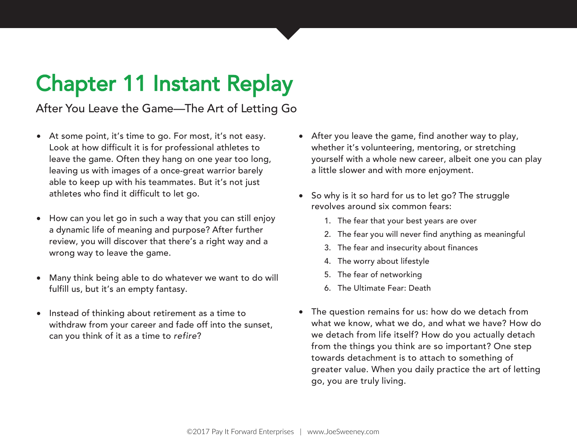# Chapter 11 Instant Replay

After You Leave the Game—The Art of Letting Go

- At some point, it's time to go. For most, it's not easy. Look at how difficult it is for professional athletes to leave the game. Often they hang on one year too long, leaving us with images of a once-great warrior barely able to keep up with his teammates. But it's not just athletes who find it difficult to let go.
- How can you let go in such a way that you can still enjoy a dynamic life of meaning and purpose? After further review, you will discover that there's a right way and a wrong way to leave the game.
- Many think being able to do whatever we want to do will fulfill us, but it's an empty fantasy.
- Instead of thinking about retirement as a time to withdraw from your career and fade off into the sunset, can you think of it as a time to refire?
- After you leave the game, find another way to play, whether it's volunteering, mentoring, or stretching yourself with a whole new career, albeit one you can play a little slower and with more enjoyment.
- So why is it so hard for us to let go? The struggle revolves around six common fears:
	- 1. The fear that your best years are over
	- 2. The fear you will never find anything as meaningful
	- 3. The fear and insecurity about finances
	- 4. The worry about lifestyle
	- 5. The fear of networking
	- 6. The Ultimate Fear: Death
- The question remains for us: how do we detach from what we know, what we do, and what we have? How do we detach from life itself? How do you actually detach from the things you think are so important? One step towards detachment is to attach to something of greater value. When you daily practice the art of letting go, you are truly living.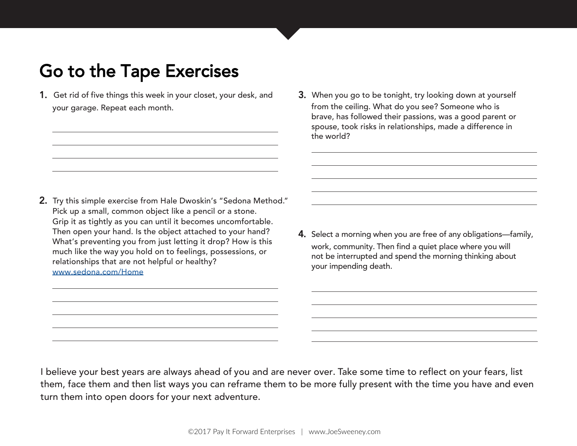- 1. Get rid of five things this week in your closet, your desk, and your garage. Repeat each month.
- 3. When you go to be tonight, try looking down at yourself from the ceiling. What do you see? Someone who is brave, has followed their passions, was a good parent or spouse, took risks in relationships, made a difference in the world?

- 2. Try this simple exercise from Hale Dwoskin's "Sedona Method." Pick up a small, common object like a pencil or a stone. Grip it as tightly as you can until it becomes uncomfortable. Then open your hand. Is the object attached to your hand? What's preventing you from just letting it drop? How is this much like the way you hold on to feelings, possessions, or relationships that are not helpful or healthy? [www.sedona.com/Home](http://www.sedona.com/Home.asp)
- 4. Select a morning when you are free of any obligations—family, work, community. Then find a quiet place where you will not be interrupted and spend the morning thinking about your impending death.

I believe your best years are always ahead of you and are never over. Take some time to reflect on your fears, list them, face them and then list ways you can reframe them to be more fully present with the time you have and even turn them into open doors for your next adventure.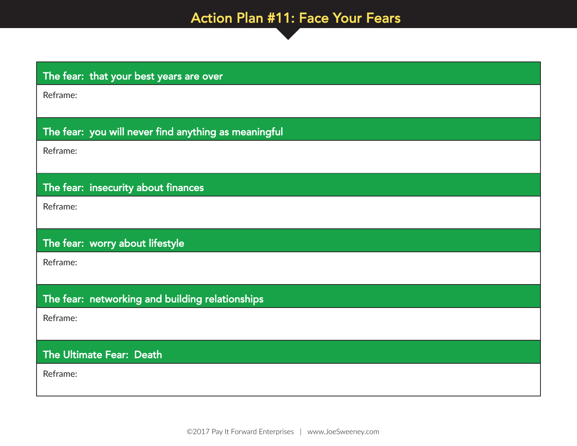### Action Plan #11: Face Your Fears

| The fear: that your best years are over              |
|------------------------------------------------------|
| Reframe:                                             |
|                                                      |
| The fear: you will never find anything as meaningful |
| Reframe:                                             |
|                                                      |
| The fear: insecurity about finances                  |
| Reframe:                                             |
|                                                      |
| The fear: worry about lifestyle                      |
| Reframe:                                             |
|                                                      |
| The fear: networking and building relationships      |
| Reframe:                                             |
|                                                      |
| The Ultimate Fear: Death                             |
| Reframe:                                             |
|                                                      |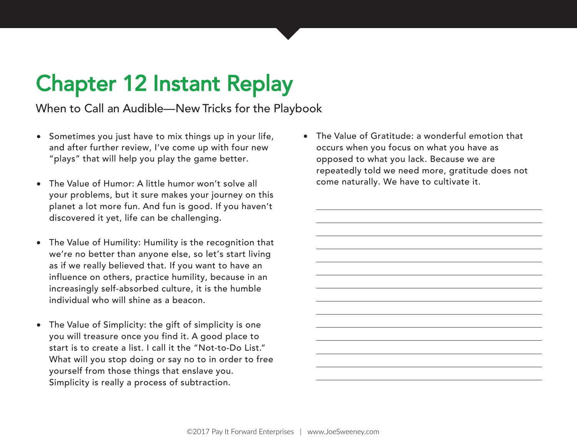# Chapter 12 Instant Replay

When to Call an Audible—New Tricks for the Playbook

- Sometimes you just have to mix things up in your life, and after further review, I've come up with four new "plays" that will help you play the game better.
- The Value of Humor: A little humor won't solve all your problems, but it sure makes your journey on this planet a lot more fun. And fun is good. If you haven't discovered it yet, life can be challenging.
- The Value of Humility: Humility is the recognition that we're no better than anyone else, so let's start living as if we really believed that. If you want to have an influence on others, practice humility, because in an increasingly self-absorbed culture, it is the humble individual who will shine as a beacon.
- The Value of Simplicity: the gift of simplicity is one you will treasure once you find it. A good place to start is to create a list. I call it the "Not-to-Do List." What will you stop doing or say no to in order to free yourself from those things that enslave you. Simplicity is really a process of subtraction.

• The Value of Gratitude: a wonderful emotion that occurs when you focus on what you have as opposed to what you lack. Because we are repeatedly told we need more, gratitude does not come naturally. We have to cultivate it.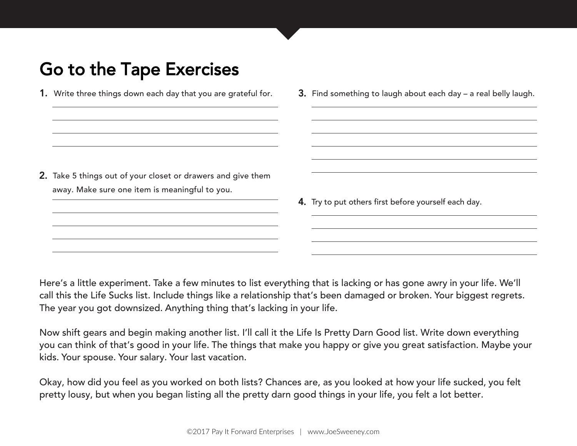- 1. Write three things down each day that you are grateful for.
- 3. Find something to laugh about each day a real belly laugh.

- 2. Take 5 things out of your closet or drawers and give them away. Make sure one item is meaningful to you.
- 4. Try to put others first before yourself each day.

Here's a little experiment. Take a few minutes to list everything that is lacking or has gone awry in your life. We'll call this the Life Sucks list. Include things like a relationship that's been damaged or broken. Your biggest regrets. The year you got downsized. Anything thing that's lacking in your life.

Now shift gears and begin making another list. I'll call it the Life Is Pretty Darn Good list. Write down everything you can think of that's good in your life. The things that make you happy or give you great satisfaction. Maybe your kids. Your spouse. Your salary. Your last vacation.

Okay, how did you feel as you worked on both lists? Chances are, as you looked at how your life sucked, you felt pretty lousy, but when you began listing all the pretty darn good things in your life, you felt a lot better.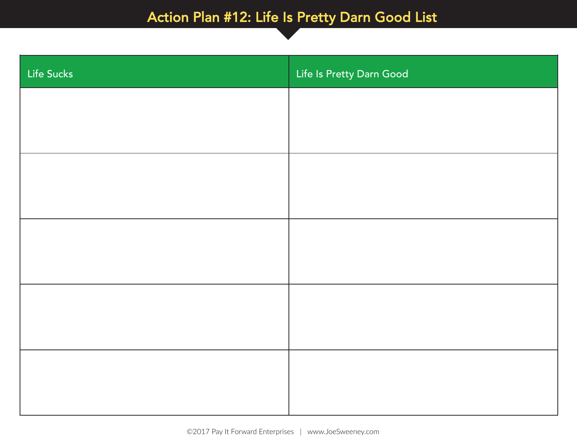### Action Plan #12: Life Is Pretty Darn Good List

Life Is Pretty Darn Good List

| Life Sucks | Life Is Pretty Darn Good |
|------------|--------------------------|
|            |                          |
|            |                          |
|            |                          |
|            |                          |
|            |                          |
|            |                          |
|            |                          |
|            |                          |
|            |                          |
|            |                          |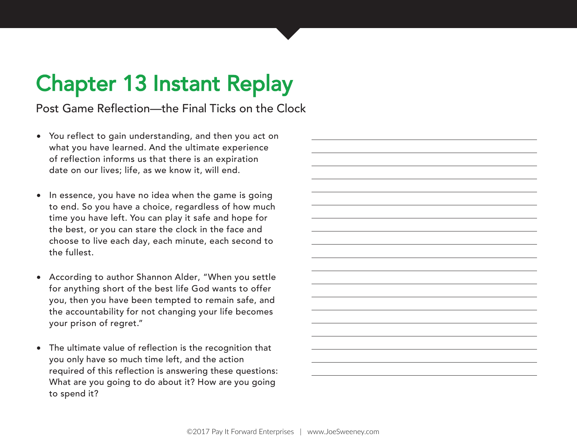# Chapter 13 Instant Replay

Post Game Reflection—the Final Ticks on the Clock

- You reflect to gain understanding, and then you act on what you have learned. And the ultimate experience of reflection informs us that there is an expiration date on our lives; life, as we know it, will end.
- In essence, you have no idea when the game is going to end. So you have a choice, regardless of how much time you have left. You can play it safe and hope for the best, or you can stare the clock in the face and choose to live each day, each minute, each second to the fullest.
- According to author Shannon Alder, "When you settle for anything short of the best life God wants to offer you, then you have been tempted to remain safe, and the accountability for not changing your life becomes your prison of regret."
- The ultimate value of reflection is the recognition that you only have so much time left, and the action required of this reflection is answering these questions: What are you going to do about it? How are you going to spend it?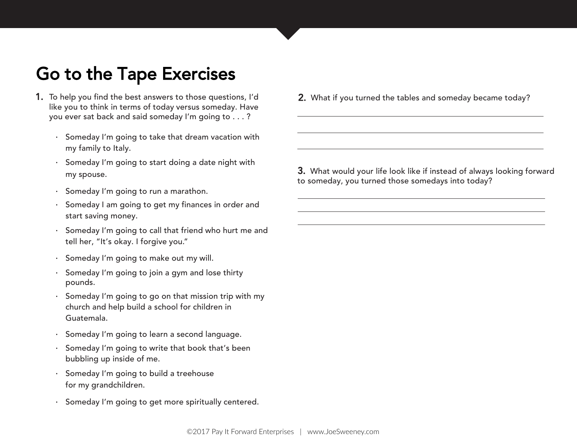- 1. To help you find the best answers to those questions, I'd like you to think in terms of today versus someday. Have you ever sat back and said someday I'm going to . . . ?
	- · Someday I'm going to take that dream vacation with my family to Italy.
	- · Someday I'm going to start doing a date night with my spouse.
	- · Someday I'm going to run a marathon.
	- · Someday I am going to get my finances in order and start saving money.
	- · Someday I'm going to call that friend who hurt me and tell her, "It's okay. I forgive you."
	- · Someday I'm going to make out my will.
	- · Someday I'm going to join a gym and lose thirty pounds.
	- · Someday I'm going to go on that mission trip with my church and help build a school for children in Guatemala.
	- · Someday I'm going to learn a second language.
	- · Someday I'm going to write that book that's been bubbling up inside of me.
	- · Someday I'm going to build a treehouse for my grandchildren.
	- Someday I'm going to get more spiritually centered.

2. What if you turned the tables and someday became today?

3. What would your life look like if instead of always looking forward to someday, you turned those somedays into today?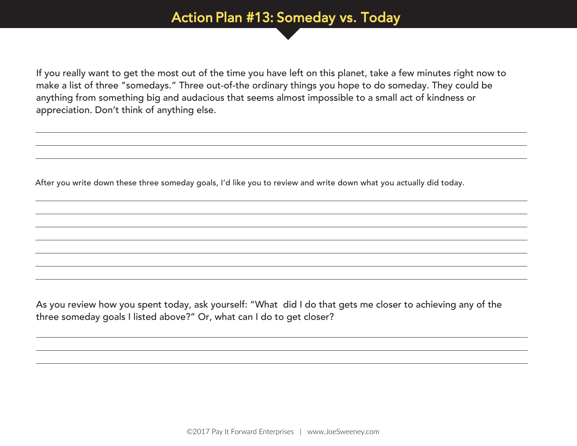#### Action Plan #13: Someday vs. Today

If you really want to get the most out of the time you have left on this planet, take a few minutes right now to make a list of three "somedays." Three out-of-the ordinary things you hope to do someday. They could be anything from something big and audacious that seems almost impossible to a small act of kindness or appreciation. Don't think of anything else.

After you write down these three someday goals, I'd like you to review and write down what you actually did today.

As you review how you spent today, ask yourself: "What did I do that gets me closer to achieving any of the three someday goals I listed above?" Or, what can I do to get closer?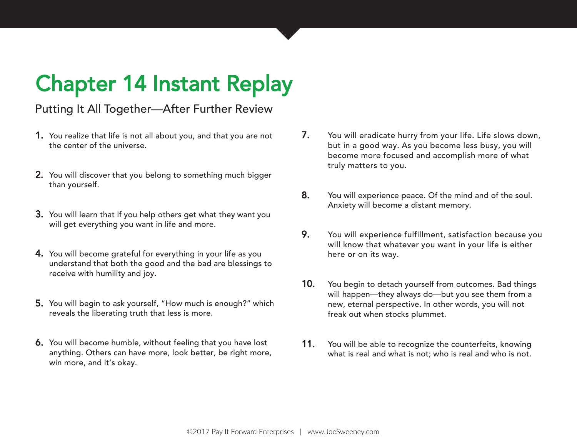# Chapter 14 Instant Replay

#### Putting It All Together—After Further Review

- 1. You realize that life is not all about you, and that you are not the center of the universe.
- 2. You will discover that you belong to something much bigger than yourself.
- 3. You will learn that if you help others get what they want you will get everything you want in life and more.
- 4. You will become grateful for everything in your life as you understand that both the good and the bad are blessings to receive with humility and joy.
- 5. You will begin to ask yourself, "How much is enough?" which reveals the liberating truth that less is more.
- 6. You will become humble, without feeling that you have lost anything. Others can have more, look better, be right more, win more, and it's okay.
- 7. You will eradicate hurry from your life. Life slows down, but in a good way. As you become less busy, you will become more focused and accomplish more of what truly matters to you.
- 8. You will experience peace. Of the mind and of the soul. Anxiety will become a distant memory.
- 9. You will experience fulfillment, satisfaction because you will know that whatever you want in your life is either here or on its way.
- 10. You begin to detach yourself from outcomes. Bad things will happen—they always do—but you see them from a new, eternal perspective. In other words, you will not freak out when stocks plummet.
- 11. You will be able to recognize the counterfeits, knowing what is real and what is not; who is real and who is not.